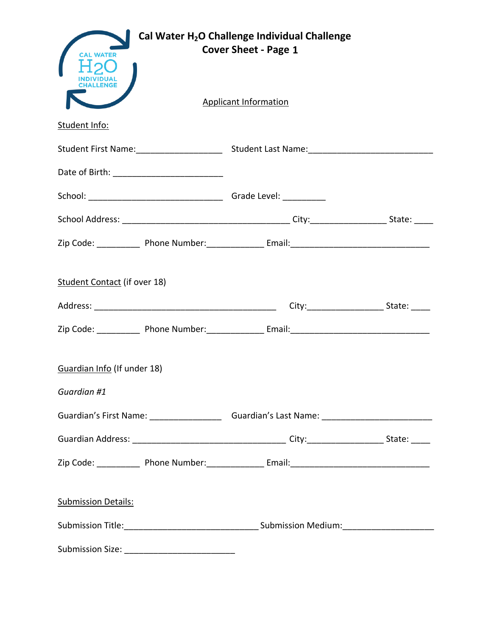| Cal Water H <sub>2</sub> O Challenge Individual Challenge<br><b>Cover Sheet - Page 1</b><br>CAL WATER |  |                                                                                                      |  |  |  |
|-------------------------------------------------------------------------------------------------------|--|------------------------------------------------------------------------------------------------------|--|--|--|
| <b>Applicant Information</b>                                                                          |  |                                                                                                      |  |  |  |
| Student Info:                                                                                         |  |                                                                                                      |  |  |  |
|                                                                                                       |  |                                                                                                      |  |  |  |
|                                                                                                       |  |                                                                                                      |  |  |  |
|                                                                                                       |  |                                                                                                      |  |  |  |
|                                                                                                       |  |                                                                                                      |  |  |  |
|                                                                                                       |  | Zip Code: _______________ Phone Number: __________________Email: ___________________________________ |  |  |  |
| <b>Student Contact (if over 18)</b>                                                                   |  |                                                                                                      |  |  |  |
| Guardian Info (If under 18)<br>Guardian #1                                                            |  |                                                                                                      |  |  |  |
|                                                                                                       |  | Guardian's First Name: __________________________Guardian's Last Name: ____________________________  |  |  |  |
|                                                                                                       |  |                                                                                                      |  |  |  |
|                                                                                                       |  |                                                                                                      |  |  |  |
| <b>Submission Details:</b>                                                                            |  |                                                                                                      |  |  |  |
|                                                                                                       |  |                                                                                                      |  |  |  |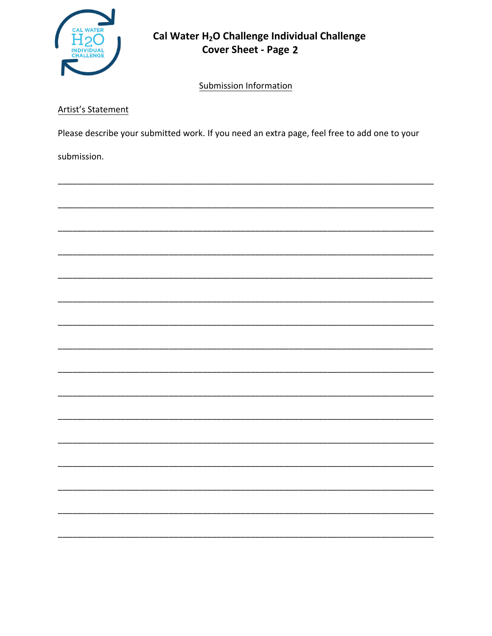

# Cal Water H<sub>2</sub>O Challenge Individual Challenge **Cover Sheet - Page 2**

**Submission Information** 

### Artist's Statement

Please describe your submitted work. If you need an extra page, feel free to add one to your

submission.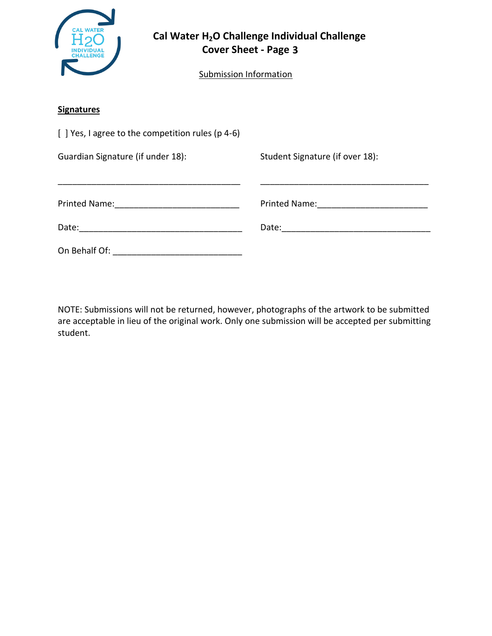|                                                                                                                | Cal Water H <sub>2</sub> O Challenge Individual Challenge<br><b>Cover Sheet - Page 3</b><br>Submission Information |                                                                                                                |  |  |
|----------------------------------------------------------------------------------------------------------------|--------------------------------------------------------------------------------------------------------------------|----------------------------------------------------------------------------------------------------------------|--|--|
| <b>Signatures</b>                                                                                              |                                                                                                                    |                                                                                                                |  |  |
| $\lceil$   Yes, I agree to the competition rules (p 4-6)                                                       |                                                                                                                    |                                                                                                                |  |  |
| Guardian Signature (if under 18):                                                                              |                                                                                                                    | Student Signature (if over 18):                                                                                |  |  |
|                                                                                                                |                                                                                                                    |                                                                                                                |  |  |
| Printed Name: Manual Manual Manual Manual Manual Manual Manual Manual Manual Manual Manual Manual Manual Manua |                                                                                                                    | Printed Name: Manual Manual Manual Manual Manual Manual Manual Manual Manual Manual Manual Manual Manual Manua |  |  |
|                                                                                                                |                                                                                                                    |                                                                                                                |  |  |
|                                                                                                                |                                                                                                                    |                                                                                                                |  |  |

NOTE: Submissions will not be returned, however, photographs of the artwork to be submitted are acceptable in lieu of the original work. Only one submission will be accepted per submitting student.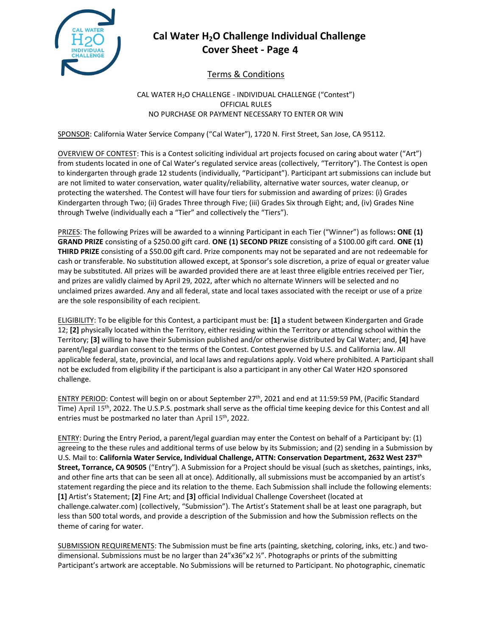

## **Cal Water H2O Challenge Individual Challenge Cover Sheet - Page 4**

### Terms & Conditions

#### CAL WATER H2O CHALLENGE - INDIVIDUAL CHALLENGE ("Contest") OFFICIAL RULES NO PURCHASE OR PAYMENT NECESSARY TO ENTER OR WIN

SPONSOR: California Water Service Company ("Cal Water"), 1720 N. First Street, San Jose, CA 95112.

OVERVIEW OF CONTEST: This is a Contest soliciting individual art projects focused on caring about water ("Art") from students located in one of Cal Water's regulated service areas (collectively, "Territory"). The Contest is open to kindergarten through grade 12 students (individually, "Participant"). Participant art submissions can include but are not limited to water conservation, water quality/reliability, alternative water sources, water cleanup, or protecting the watershed. The Contest will have four tiers for submission and awarding of prizes: (i) Grades Kindergarten through Two; (ii) Grades Three through Five; (iii) Grades Six through Eight; and, (iv) Grades Nine through Twelve (individually each a "Tier" and collectively the "Tiers").

PRIZES: The following Prizes will be awarded to a winning Participant in each Tier ("Winner") as follows**: ONE (1) GRAND PRIZE** consisting of a \$250.00 gift card. **ONE (1) SECOND PRIZE** consisting of a \$100.00 gift card. **ONE (1) THIRD PRIZE** consisting of a \$50.00 gift card. Prize components may not be separated and are not redeemable for cash or transferable. No substitution allowed except, at Sponsor's sole discretion, a prize of equal or greater value may be substituted. All prizes will be awarded provided there are at least three eligible entries received per Tier, and prizes are validly claimed by April 29, 2022, after which no alternate Winners will be selected and no unclaimed prizes awarded. Any and all federal, state and local taxes associated with the receipt or use of a prize are the sole responsibility of each recipient.

ELIGIBILITY: To be eligible for this Contest, a participant must be: **[1]** a student between Kindergarten and Grade 12; **[2]** physically located within the Territory, either residing within the Territory or attending school within the Territory; **[3]** willing to have their Submission published and/or otherwise distributed by Cal Water; and, **[4]** have parent/legal guardian consent to the terms of the Contest. Contest governed by U.S. and California law. All applicable federal, state, provincial, and local laws and regulations apply. Void where prohibited. A Participant shall not be excluded from eligibility if the participant is also a participant in any other Cal Water H2O sponsored challenge.

ENTRY PERIOD: Contest will begin on or about September 27th, 2021 and end at 11:59:59 PM, (Pacific Standard Time) April 15th, 2022. The U.S.P.S. postmark shall serve as the official time keeping device for this Contest and all entries must be postmarked no later than April 15<sup>th</sup>, 2022.

ENTRY: During the Entry Period, a parent/legal guardian may enter the Contest on behalf of a Participant by: (1) agreeing to the these rules and additional terms of use below by its Submission; and (2) sending in a Submission by U.S. Mail to: **California Water Service, Individual Challenge, ATTN: Conservation Department, 2632 West 237th Street, Torrance, CA 90505** ("Entry"). A Submission for a Project should be visual (such as sketches, paintings, inks, and other fine arts that can be seen all at once). Additionally, all submissions must be accompanied by an artist's statement regarding the piece and its relation to the theme. Each Submission shall include the following elements: **[1]** Artist's Statement; **[2]** Fine Art; and **[3]** official Individual Challenge Coversheet (located at challenge.calwater.com) (collectively, "Submission"). The Artist's Statement shall be at least one paragraph, but less than 500 total words, and provide a description of the Submission and how the Submission reflects on the theme of caring for water.

SUBMISSION REQUIREMENTS: The Submission must be fine arts (painting, sketching, coloring, inks, etc.) and twodimensional. Submissions must be no larger than 24"x36"x2 1/2". Photographs or prints of the submitting Participant's artwork are acceptable. No Submissions will be returned to Participant. No photographic, cinematic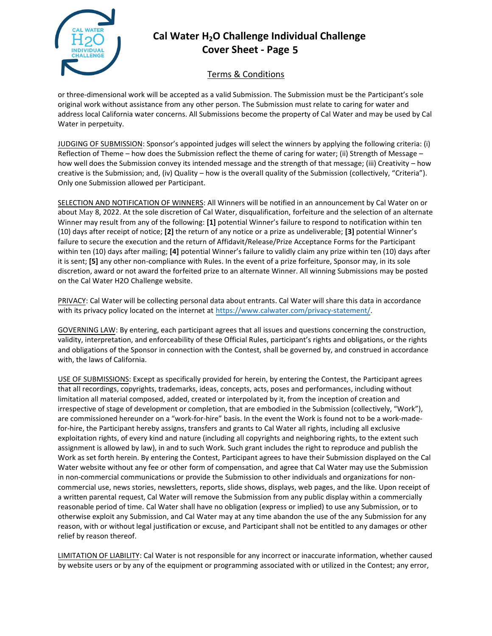

# **Cal Water H2O Challenge Individual Challenge Cover Sheet - Page 5**

### Terms & Conditions

or three-dimensional work will be accepted as a valid Submission. The Submission must be the Participant's sole original work without assistance from any other person. The Submission must relate to caring for water and address local California water concerns. All Submissions become the property of Cal Water and may be used by Cal Water in perpetuity.

JUDGING OF SUBMISSION: Sponsor's appointed judges will select the winners by applying the following criteria: (i) Reflection of Theme – how does the Submission reflect the theme of caring for water; (ii) Strength of Message – how well does the Submission convey its intended message and the strength of that message; (iii) Creativity – how creative is the Submission; and, (iv) Quality – how is the overall quality of the Submission (collectively, "Criteria"). Only one Submission allowed per Participant.

SELECTION AND NOTIFICATION OF WINNERS: All Winners will be notified in an announcement by Cal Water on or about May 8, 2022. At the sole discretion of Cal Water, disqualification, forfeiture and the selection of an alternate Winner may result from any of the following: **[1]** potential Winner's failure to respond to notification within ten (10) days after receipt of notice; **[2]** the return of any notice or a prize as undeliverable; **[3]** potential Winner's failure to secure the execution and the return of Affidavit/Release/Prize Acceptance Forms for the Participant within ten (10) days after mailing; **[4]** potential Winner's failure to validly claim any prize within ten (10) days after it is sent; **[5]** any other non-compliance with Rules. In the event of a prize forfeiture, Sponsor may, in its sole discretion, award or not award the forfeited prize to an alternate Winner. All winning Submissions may be posted on the Cal Water H2O Challenge website.

PRIVACY: Cal Water will be collecting personal data about entrants. Cal Water will share this data in accordance with its privacy policy located on the internet at [https://www.calwater.com/privacy-statement/.](https://www.calwater.com/privacy-statement/)

GOVERNING LAW: By entering, each participant agrees that all issues and questions concerning the construction, validity, interpretation, and enforceability of these Official Rules, participant's rights and obligations, or the rights and obligations of the Sponsor in connection with the Contest, shall be governed by, and construed in accordance with, the laws of California.

USE OF SUBMISSIONS: Except as specifically provided for herein, by entering the Contest, the Participant agrees that all recordings, copyrights, trademarks, ideas, concepts, acts, poses and performances, including without limitation all material composed, added, created or interpolated by it, from the inception of creation and irrespective of stage of development or completion, that are embodied in the Submission (collectively, "Work"), are commissioned hereunder on a "work-for-hire" basis. In the event the Work is found not to be a work-madefor-hire, the Participant hereby assigns, transfers and grants to Cal Water all rights, including all exclusive exploitation rights, of every kind and nature (including all copyrights and neighboring rights, to the extent such assignment is allowed by law), in and to such Work. Such grant includes the right to reproduce and publish the Work as set forth herein. By entering the Contest, Participant agrees to have their Submission displayed on the Cal Water website without any fee or other form of compensation, and agree that Cal Water may use the Submission in non-commercial communications or provide the Submission to other individuals and organizations for noncommercial use, news stories, newsletters, reports, slide shows, displays, web pages, and the like. Upon receipt of a written parental request, Cal Water will remove the Submission from any public display within a commercially reasonable period of time. Cal Water shall have no obligation (express or implied) to use any Submission, or to otherwise exploit any Submission, and Cal Water may at any time abandon the use of the any Submission for any reason, with or without legal justification or excuse, and Participant shall not be entitled to any damages or other relief by reason thereof.

LIMITATION OF LIABILITY: Cal Water is not responsible for any incorrect or inaccurate information, whether caused by website users or by any of the equipment or programming associated with or utilized in the Contest; any error,